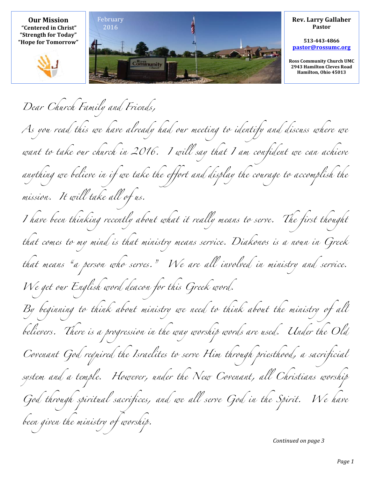

*Dear Church Family and Friends, As you read this we have already had our meeting to identify and discuss where we*  want to take our church in 2016. I will say that I am confident we can achieve *anything we believe in if we take the effort and display the courage to accomplish the mission. It will take all of us. I have been thinking recently about what it really means to serve. The first thought that comes to my mind is that ministry means service. Diakonos is a noun in Greek that means "a person who serves." We are all involved in ministry and service. We get our English word deacon for this Greek word. By beginning to think about ministry we need to think about the ministry of all believers. There is a progression in the way worship words are used. Under the Old Covenant God required the Israelites to serve Him through priesthood, a sacrificial*  system and a temple. However, under the New Covenant, all Christians worship *God through spiritual sacrifices, and we all serve God in the Spirit. We have been given the ministry of worship.*

*Continued on page 3*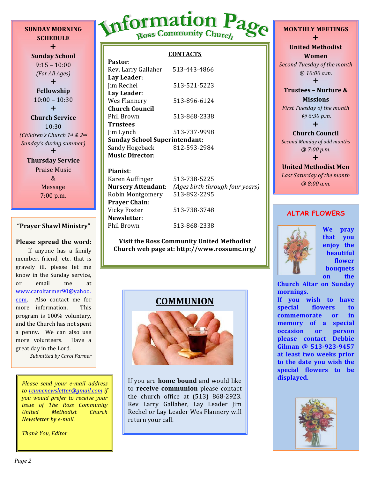**SCHEDULE**  $+$ **Sunday School**  $9:15 - 10:00$ *(For All Ages)*  $+$ **Fellowship**  $10:00 - 10:30$  $+$ **Church Service** 10:30 *(Children's Church 1st & 2nd Sunday's during summer*  $\div$ 

**SUNDAY MORNING**

**Thursday Service** Praise Music & Message 7:00 p.m.

#### **"Prayer Shawl Ministry"**

# **Please spread the word:**

**------**If anyone has a family member, friend, etc. that is gravely ill, please let me know in the Sunday service. or email me at www.carolfarmer90@yahoo. com. Also contact me for more information. This program is 100% voluntary, and the Church has not spent a penny. We can also use more volunteers. Have a great day in the Lord.

*Submitted by Carol Farmer*

*Please send your e-mail address to rcumcnewsletter@gmail.com if you would prefer to receive your issue of The Ross Community United Methodist Church Newsletter by e-mail.* 

*Thank You, Editor*

# Information Page

## **CONTACTS**

| Pastor:                              |              |  |  |
|--------------------------------------|--------------|--|--|
| Rev. Larry Gallaher                  | 513-443-4866 |  |  |
| Lay Leader:                          |              |  |  |
| Jim Rechel                           | 513-521-5223 |  |  |
| Lay Leader:                          |              |  |  |
| Wes Flannery                         | 513-896-6124 |  |  |
| Church Council                       |              |  |  |
| Phil Brown                           | 513-868-2338 |  |  |
| <b>Trustees</b>                      |              |  |  |
| Jim Lynch                            | 513-737-9998 |  |  |
| <b>Sunday School Superintendant:</b> |              |  |  |
| Sandy Hogeback                       | 812-593-2984 |  |  |
| <b>Music Director:</b>               |              |  |  |

## **Pianist**:

Karen Auffinger 513-738-5225 Robin Montgomery 513-892-2295 **Prayer Chain**: Vicky Foster 513-738-3748 **Newsletter**: Phil Brown 513-868-2338

**Nursery Attendant**: *(Ages birth through four years)*

## **Visit the Ross Community United Methodist Church web page at: http://www.rossumc.org/**





If you are **home bound** and would like to **receive communion** please contact the church office at  $(513)$  868-2923. Rev Larry Gallaher, Lay Leader Jim Rechel or Lay Leader Wes Flannery will return your call.

# **MONTHLY MEETINGS**  $\ddagger$ **United Methodist Women Second Tuesday of the month** *@ 10:00 a.m.*  $\ddagger$

**Trustees - Nurture & Missions**

*First Tuesday of the month @ 6:30 p.m.*  $\ddagger$ 

# **Church Council Second Monday of odd months** *@ 7:00 p.m.*

 $\ddot{}$ **United Methodist Men** Last Saturday of the month *@ 8:00 a.m.*

## **ALTAR FLOWERS**



**We pray that you enjoy** the **beautiful flower bouquets on** the

**Church Altar on Sunday mornings.**

If you wish to have special flowers to **commemorate** or in **memory** of a special **occasion** or **person please contact Debbie**  Gilman @ 513-923-9457 at least two weeks prior **to the date you wish the special flowers to be displayed.**

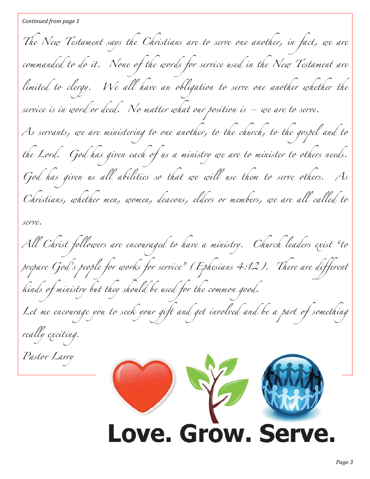*The New Testament says the Christians are to serve one another, in fact, we are*  commanded to do it. None of the words for service used in the New Testament are *limited to clergy. We all have an obligation to serve one another whether the service is in word or deed. No matter what our position is – we are to serve. As servants, we are ministering to one another, to the church, to the gospel and to the Lord. God has given each of us a ministry we are to minister to others needs. God has given us all abilities so that we will use them to serve others. As Christians, whether men, women, deacons, elders or members, we are all called to serve. All Christ followers are encouraged to have a ministry. Church leaders exist "to*  prepare God's people for works for service" (Ephesians 4:12). There are different *kinds of ministry but they should be used for the common good.* Let me encourage you to seek your gift and get involved and be a part of something *really exciting. Pastor Larry* L Love. Grow. Se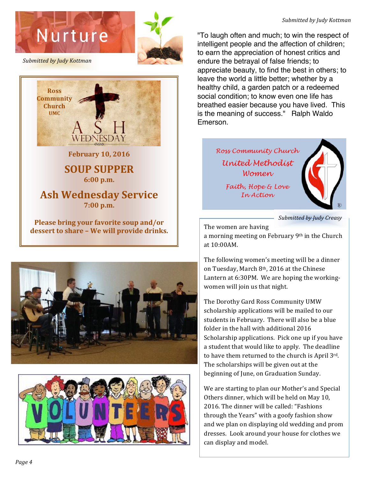



**Submitted by Judy Kottman** 



**February 10, 2016** 

# **SOUP SUPPER 6:00 p.m.**

# **Ash Wednesday Service 7:00 p.m.**

**Please bring your favorite soup and/or** dessert to share - We will provide drinks.





*Submitted by Judy Kottman*

"To laugh often and much; to win the respect of intelligent people and the affection of children; to earn the appreciation of honest critics and endure the betrayal of false friends; to appreciate beauty, to find the best in others; to leave the world a little better; whether by a healthy child, a garden patch or a redeemed social condition; to know even one life has breathed easier because you have lived. This is the meaning of success." Ralph Waldo Emerson.

> *Ross Community Church United Methodist Women Faith, Hope & Love In Action*



*Submitted by Judy Creasy*

The women are having

a morning meeting on February 9th in the Church at 10:00AM.

The following women's meeting will be a dinner on Tuesday, March 8<sup>th</sup>, 2016 at the Chinese Lantern at 6:30PM. We are hoping the workingwomen will join us that night.

The Dorothy Gard Ross Community UMW scholarship applications will be mailed to our students in February. There will also be a blue folder in the hall with additional 2016 Scholarship applications. Pick one up if you have a student that would like to apply. The deadline to have them returned to the church is April 3rd. The scholarships will be given out at the beginning of June, on Graduation Sunday.

We are starting to plan our Mother's and Special Others dinner, which will be held on May 10, 2016. The dinner will be called: "Fashions through the Years" with a goofy fashion show and we plan on displaying old wedding and prom dresses. Look around your house for clothes we can display and model.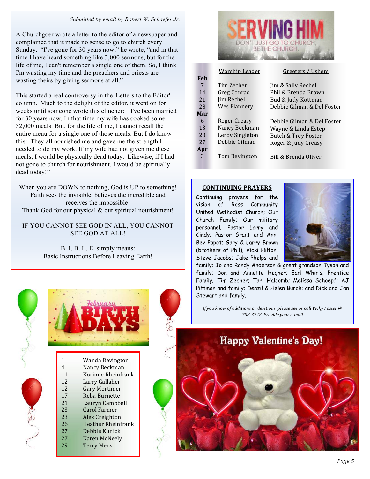#### *Submitted by email by Robert W. Schaefer Jr.*

A Churchgoer wrote a letter to the editor of a newspaper and complained that it made no sense to go to church every Sunday. "I've gone for 30 years now," he wrote, "and in that time I have heard something like 3,000 sermons, but for the life of me, I can't remember a single one of them. So, I think I'm wasting my time and the preachers and priests are wasting theirs by giving sermons at all."

This started a real controversy in the 'Letters to the Editor' column. Much to the delight of the editor, it went on for weeks until someone wrote this clincher: "I've been married for 30 years now. In that time my wife has cooked some 32,000 meals. But, for the life of me, I cannot recall the entire menu for a single one of those meals. But I do know this: They all nourished me and gave me the strength I needed to do my work. If my wife had not given me these meals, I would be physically dead today. Likewise, if I had not gone to church for nourishment, I would be spiritually dead today!"

When you are DOWN to nothing, God is UP to something! Faith sees the invisible, believes the incredible and receives the impossible! Thank God for our physical & our spiritual nourishment!

IF YOU CANNOT SEE GOD IN ALL, YOU CANNOT SEE GOD AT ALL!

> B. I. B. L. E. simply means: Basic Instructions Before Leaving Earth!





| 1  | Wanda Bevington           |
|----|---------------------------|
| 4  | Nancy Beckman             |
| 11 | Korinne Rheinfrank        |
| 12 | Larry Gallaher            |
| 12 | Gary Mortimer             |
| 17 | Reba Burnette             |
| 21 | Lauryn Campbell           |
| 23 | Carol Farmer              |
| 23 | Alex Creighton            |
| 26 | <b>Heather Rheinfrank</b> |
| 27 | Debbie Kunick             |
| 27 | Karen McNeely             |
| 29 | <b>Terry Merz</b>         |
|    |                           |



|     | <u>Worship Leader</u> | Greeters / Ushers          |
|-----|-----------------------|----------------------------|
| Feb |                       |                            |
| 7   | Tim Zecher            | Jim & Sally Rechel         |
| 14  | Greg Conrad           | Phil & Brenda Brown        |
| 21  | Jim Rechel            | Bud & Judy Kottman         |
| 28  | Wes Flannery          | Debbie Gilman & Del Foster |
| Mar |                       |                            |
| 6   | Roger Creasy          | Debbie Gilman & Del Foster |
| 13  | Nancy Beckman         | Wayne & Linda Estep        |
| 20  | Leroy Singleton       | Butch & Trey Foster        |
| 27  | Debbie Gilman         | Roger & Judy Creasy        |
| Apr |                       |                            |
| 3   | Tom Bevington         | Bill & Brenda Oliver       |

#### **CONTINUING PRAYERS**

Continuing prayers for the vision of Ross Community United Methodist Church; Our Church Family; Our military personnel; Pastor Larry and Cindy; Pastor Grant and Ann; Bev Papet; Gary & Larry Brown (brothers of Phil); Vicki Hilton; Steve Jacobs; Jake Phelps and



family; Jo and Randy Anderson & great grandson Tyson and family; Don and Annette Hegner; Earl Whirls; Prentice Family; Tim Zecher; Tari Halcomb; Melissa Schoepf; AJ Pittman and family; Denzil & Helen Burch; and Dick and Jan Stewart and family.

*If you know of additions or deletions, please see or call Vicky Foster* @ *738-3748. Provide your e-mail*